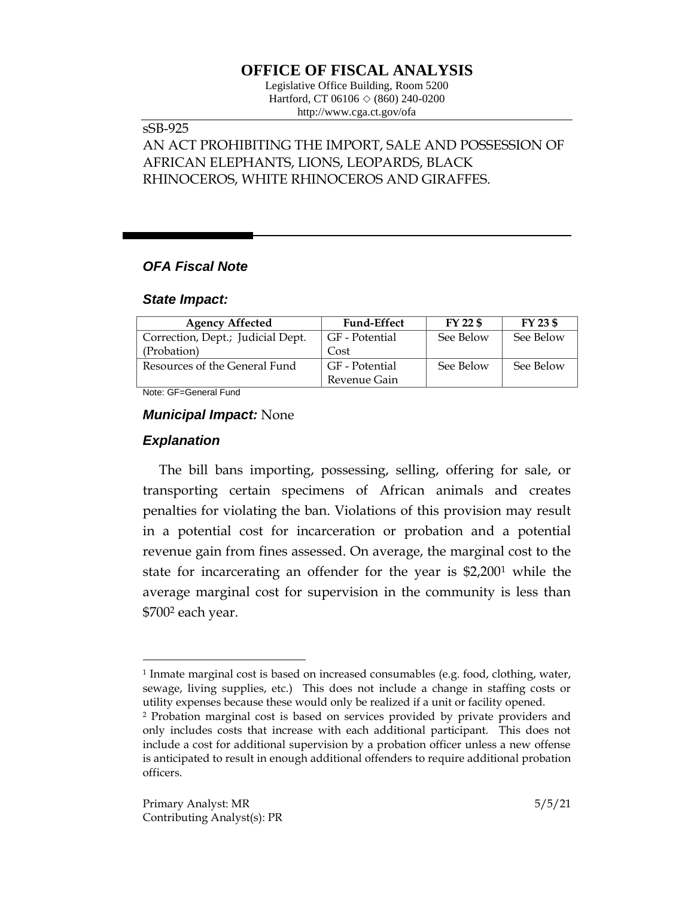# **OFFICE OF FISCAL ANALYSIS**

Legislative Office Building, Room 5200 Hartford, CT 06106 ◇ (860) 240-0200 http://www.cga.ct.gov/ofa

### sSB-925

AN ACT PROHIBITING THE IMPORT, SALE AND POSSESSION OF AFRICAN ELEPHANTS, LIONS, LEOPARDS, BLACK RHINOCEROS, WHITE RHINOCEROS AND GIRAFFES.

### *OFA Fiscal Note*

#### *State Impact:*

| <b>Agency Affected</b>            | <b>Fund-Effect</b> | FY 22 \$  | $FY$ 23 \$ |
|-----------------------------------|--------------------|-----------|------------|
| Correction, Dept.; Judicial Dept. | GF - Potential     | See Below | See Below  |
| (Probation)                       | Cost               |           |            |
| Resources of the General Fund     | GF - Potential     | See Below | See Below  |
|                                   | Revenue Gain       |           |            |

Note: GF=General Fund

#### *Municipal Impact:* None

#### *Explanation*

 $\overline{a}$ 

The bill bans importing, possessing, selling, offering for sale, or transporting certain specimens of African animals and creates penalties for violating the ban. Violations of this provision may result in a potential cost for incarceration or probation and a potential revenue gain from fines assessed. On average, the marginal cost to the state for incarcerating an offender for the year is \$2,200<sup>1</sup> while the average marginal cost for supervision in the community is less than \$700<sup>2</sup> each year.

<sup>1</sup> Inmate marginal cost is based on increased consumables (e.g. food, clothing, water, sewage, living supplies, etc.) This does not include a change in staffing costs or utility expenses because these would only be realized if a unit or facility opened.

<sup>2</sup> Probation marginal cost is based on services provided by private providers and only includes costs that increase with each additional participant. This does not include a cost for additional supervision by a probation officer unless a new offense is anticipated to result in enough additional offenders to require additional probation officers.